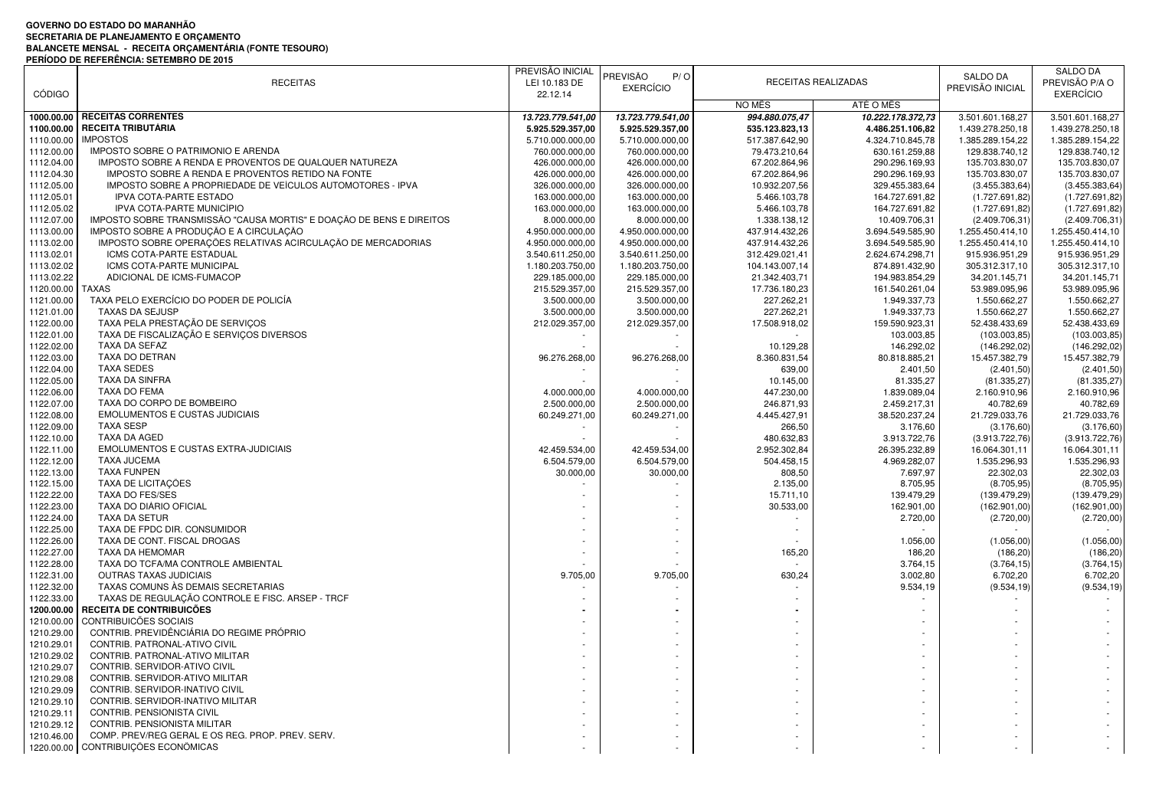## **GOVERNO DO ESTADO DO MARANHÃOSECRETARIA DE PLANEJAMENTO E ORÇAMENTO BALANCETE MENSAL - RECEITA ORÇAMENTÁRIA (FONTE TESOURO) PERÍODO DE REFERÊNCIA: SETEMBRO DE 2015**

|               |                                                                      | PREVISÃO INICIAL  |                   |                |                     |                  | <b>SALDO DA</b>  |
|---------------|----------------------------------------------------------------------|-------------------|-------------------|----------------|---------------------|------------------|------------------|
|               | <b>RECEITAS</b>                                                      | LEI 10.183 DE     | PREVISÃO<br>P/O   |                | RECEITAS REALIZADAS | SALDO DA         | PREVISÃO P/A O   |
| <b>CÓDIGO</b> |                                                                      | 22.12.14          | <b>EXERCÍCIO</b>  |                |                     | PREVISÃO INICIAL | <b>EXERCÍCIO</b> |
|               |                                                                      |                   |                   | NO MÊS         | ATÉ O MÊS           |                  |                  |
| 1000.00.00    | <b>RECEITAS CORRENTES</b>                                            | 13.723.779.541,00 | 13.723.779.541,00 | 994.880.075,47 | 10.222.178.372,73   | 3.501.601.168,27 | 3.501.601.168,27 |
| 1100.00.00    | <b>RECEITA TRIBUTÁRIA</b>                                            |                   | 5.925.529.357,00  | 535.123.823,13 |                     |                  |                  |
|               | <b>IMPOSTOS</b>                                                      | 5.925.529.357,00  |                   |                | 4.486.251.106,82    | 1.439.278.250.18 | 1.439.278.250,18 |
| 1110.00.00    |                                                                      | 5.710.000.000,00  | 5.710.000.000,00  | 517.387.642,90 | 4.324.710.845,78    | 1.385.289.154,22 | 1.385.289.154,22 |
| 1112.00.00    | IMPOSTO SOBRE O PATRIMONIO E ARENDA                                  | 760.000.000,00    | 760.000.000,00    | 79.473.210,64  | 630.161.259,88      | 129.838.740,12   | 129.838.740,12   |
| 1112.04.00    | IMPOSTO SOBRE A RENDA E PROVENTOS DE QUALQUER NATUREZA               | 426.000.000,00    | 426.000.000,00    | 67.202.864,96  | 290.296.169,93      | 135.703.830,07   | 135.703.830,07   |
| 1112.04.30    | IMPOSTO SOBRE A RENDA E PROVENTOS RETIDO NA FONTE                    | 426.000.000,00    | 426.000.000,00    | 67.202.864,96  | 290.296.169,93      | 135.703.830,07   | 135.703.830,07   |
| 1112.05.00    | IMPOSTO SOBRE A PROPRIEDADE DE VEÍCULOS AUTOMOTORES - IPVA           | 326.000.000,00    | 326.000.000,00    | 10.932.207,56  | 329.455.383,64      | (3.455.383, 64)  | (3.455.383, 64)  |
| 1112.05.01    | IPVA COTA-PARTE ESTADO                                               | 163.000.000,00    | 163.000.000,00    | 5.466.103,78   | 164.727.691,82      | (1.727.691,82)   | (1.727.691, 82)  |
| 1112.05.02    | IPVA COTA-PARTE MUNICÍPIO                                            | 163.000.000,00    | 163.000.000,00    | 5.466.103,78   | 164.727.691,82      | (1.727.691,82)   | (1.727.691,82)   |
| 1112.07.00    | IMPOSTO SOBRE TRANSMISSÃO "CAUSA MORTIS" E DOAÇÃO DE BENS E DIREITOS | 8.000.000,00      | 8.000.000,00      | 1.338.138,12   | 10.409.706,31       | (2.409.706, 31)  | (2.409.706, 31)  |
| 1113.00.00    | IMPOSTO SOBRE A PRODUÇÃO E A CIRCULAÇÃO                              | 4.950.000.000,00  | 4.950.000.000,00  | 437.914.432,26 | 3.694.549.585,90    | 1.255.450.414,10 | 1.255.450.414,10 |
| 1113.02.00    | IMPOSTO SOBRE OPERAÇÕES RELATIVAS ACIRCULAÇÃO DE MERCADORIAS         | 4.950.000.000,00  | 4.950.000.000,00  | 437.914.432,26 | 3.694.549.585,90    | 1.255.450.414,10 | 1.255.450.414,10 |
| 1113.02.01    | ICMS COTA-PARTE ESTADUAL                                             | 3.540.611.250,00  | 3.540.611.250,00  | 312.429.021,41 | 2.624.674.298,71    | 915.936.951,29   | 915.936.951,29   |
| 1113.02.02    | ICMS COTA-PARTE MUNICIPAL                                            | 1.180.203.750,00  | 1.180.203.750,00  | 104.143.007,14 | 874.891.432,90      | 305.312.317,10   | 305.312.317,10   |
| 1113.02.22    | ADICIONAL DE ICMS-FUMACOP                                            | 229.185.000,00    | 229.185.000,00    | 21.342.403,71  | 194.983.854,29      | 34.201.145,71    | 34.201.145,71    |
| 1120.00.00    | <b>TAXAS</b>                                                         | 215.529.357,00    | 215.529.357,00    | 17.736.180,23  | 161.540.261,04      | 53.989.095,96    | 53.989.095,96    |
| 1121.00.00    | TAXA PELO EXERCÍCIO DO PODER DE POLICÍA                              | 3.500.000,00      | 3.500.000,00      | 227.262,21     | 1.949.337,73        | 1.550.662,27     | 1.550.662,27     |
| 1121.01.00    | <b>TAXAS DA SEJUSP</b>                                               | 3.500.000,00      | 3.500.000,00      | 227.262,21     | 1.949.337,73        | 1.550.662,27     | 1.550.662,27     |
| 1122.00.00    | TAXA PELA PRESTAÇÃO DE SERVIÇOS                                      | 212.029.357,00    | 212.029.357,00    | 17.508.918,02  | 159.590.923,31      | 52.438.433,69    | 52.438.433,69    |
| 1122.01.00    | TAXA DE FISCALIZAÇÃO E SERVIÇOS DIVERSOS                             |                   |                   |                | 103.003,85          | (103.003, 85)    | (103.003, 85)    |
| 1122.02.00    | TAXA DA SEFAZ                                                        |                   |                   | 10.129,28      | 146.292,02          | (146.292,02)     | (146.292,02)     |
| 1122.03.00    | TAXA DO DETRAN                                                       | 96.276.268,00     | 96.276.268,00     | 8.360.831,54   | 80.818.885,21       | 15.457.382,79    | 15.457.382,79    |
| 1122.04.00    | <b>TAXA SEDES</b>                                                    |                   |                   | 639,00         | 2.401,50            | (2.401, 50)      | (2.401, 50)      |
|               | <b>TAXA DA SINFRA</b>                                                |                   |                   |                |                     |                  |                  |
| 1122.05.00    |                                                                      |                   |                   | 10.145,00      | 81.335,27           | (81.335, 27)     | (81.335, 27)     |
| 1122.06.00    | TAXA DO FEMA                                                         | 4.000.000,00      | 4.000.000,00      | 447.230,00     | 1.839.089,04        | 2.160.910,96     | 2.160.910,96     |
| 1122.07.00    | TAXA DO CORPO DE BOMBEIRO                                            | 2.500.000,00      | 2.500.000,00      | 246.871,93     | 2.459.217,31        | 40.782,69        | 40.782,69        |
| 1122.08.00    | <b>EMOLUMENTOS E CUSTAS JUDICIAIS</b>                                | 60.249.271,00     | 60.249.271.00     | 4.445.427,91   | 38.520.237,24       | 21.729.033,76    | 21.729.033,76    |
| 1122.09.00    | <b>TAXA SESP</b>                                                     |                   |                   | 266,50         | 3.176,60            | (3.176, 60)      | (3.176, 60)      |
| 1122.10.00    | TAXA DA AGED                                                         |                   |                   | 480.632,83     | 3.913.722,76        | (3.913.722,76)   | (3.913.722,76)   |
| 1122.11.00    | EMOLUMENTOS E CUSTAS EXTRA-JUDICIAIS                                 | 42.459.534,00     | 42.459.534,00     | 2.952.302,84   | 26.395.232,89       | 16.064.301,11    | 16.064.301,11    |
| 1122.12.00    | <b>TAXA JUCEMA</b>                                                   | 6.504.579,00      | 6.504.579,00      | 504.458,15     | 4.969.282,07        | 1.535.296,93     | 1.535.296,93     |
| 1122.13.00    | <b>TAXA FUNPEN</b>                                                   | 30.000,00         | 30.000,00         | 808,50         | 7.697,97            | 22.302,03        | 22.302,03        |
| 1122.15.00    | TAXA DE LICITAÇÕES                                                   |                   |                   | 2.135,00       | 8.705,95            | (8.705, 95)      | (8.705, 95)      |
| 1122.22.00    | TAXA DO FES/SES                                                      |                   |                   | 15.711,10      | 139.479,29          | (139.479.29)     | (139.479,29)     |
| 1122.23.00    | TAXA DO DIÁRIO OFICIAL                                               |                   |                   | 30.533,00      | 162.901,00          | (162.901,00      | (162.901,00)     |
| 1122.24.00    | <b>TAXA DA SETUR</b>                                                 |                   |                   |                | 2.720,00            | (2.720,00)       | (2.720,00)       |
| 1122.25.00    | TAXA DE FPDC DIR. CONSUMIDOR                                         |                   |                   |                |                     |                  |                  |
| 1122.26.00    | TAXA DE CONT. FISCAL DROGAS                                          |                   |                   |                | 1.056,00            | (1.056, 00)      | (1.056,00)       |
| 1122.27.00    | TAXA DA HEMOMAR                                                      |                   |                   | 165,20         | 186,20              | (186, 20)        | (186, 20)        |
| 1122.28.00    | TAXA DO TCFA/MA CONTROLE AMBIENTAL                                   |                   |                   |                | 3.764,15            | (3.764, 15)      | (3.764, 15)      |
| 1122.31.00    | <b>OUTRAS TAXAS JUDICIAIS</b>                                        | 9.705,00          | 9.705,00          | 630,24         | 3.002,80            | 6.702,20         | 6.702,20         |
| 1122.32.00    | TAXAS COMUNS AS DEMAIS SECRETARIAS                                   |                   |                   |                | 9.534,19            | (9.534, 19)      | (9.534, 19)      |
| 1122.33.00    | TAXAS DE REGULAÇÃO CONTROLE E FISC. ARSEP - TRCF                     |                   |                   |                |                     |                  |                  |
| 1200.00.00    | RECEITA DE CONTRIBUICÕES                                             |                   |                   |                |                     |                  |                  |
| 1210.00.00    | <b>CONTRIBUICÕES SOCIAIS</b>                                         |                   |                   |                |                     |                  |                  |
| 1210.29.00    | CONTRIB. PREVIDÊNCIÁRIA DO REGIME PRÓPRIO                            |                   |                   |                |                     |                  |                  |
|               | CONTRIB. PATRONAL-ATIVO CIVIL                                        |                   |                   |                |                     |                  |                  |
| 1210.29.01    |                                                                      |                   |                   |                |                     |                  |                  |
| 1210.29.02    | CONTRIB. PATRONAL-ATIVO MILITAR                                      |                   |                   |                |                     |                  |                  |
| 1210.29.07    | CONTRIB. SERVIDOR-ATIVO CIVIL                                        |                   |                   |                |                     |                  |                  |
| 1210.29.08    | CONTRIB. SERVIDOR-ATIVO MILITAR                                      |                   |                   |                |                     |                  |                  |
| 1210.29.09    | CONTRIB. SERVIDOR-INATIVO CIVIL                                      |                   |                   |                |                     |                  |                  |
| 1210.29.10    | CONTRIB. SERVIDOR-INATIVO MILITAR                                    |                   |                   |                |                     |                  |                  |
| 1210.29.11    | CONTRIB. PENSIONISTA CIVIL                                           |                   |                   |                |                     |                  |                  |
| 1210.29.12    | CONTRIB. PENSIONISTA MILITAR                                         |                   |                   |                |                     |                  |                  |
| 1210.46.00    | COMP. PREV/REG GERAL E OS REG. PROP. PREV. SERV.                     |                   |                   |                |                     |                  |                  |
|               | 1220.00.00 CONTRIBUIÇÕES ECONÔMICAS                                  |                   |                   |                |                     |                  |                  |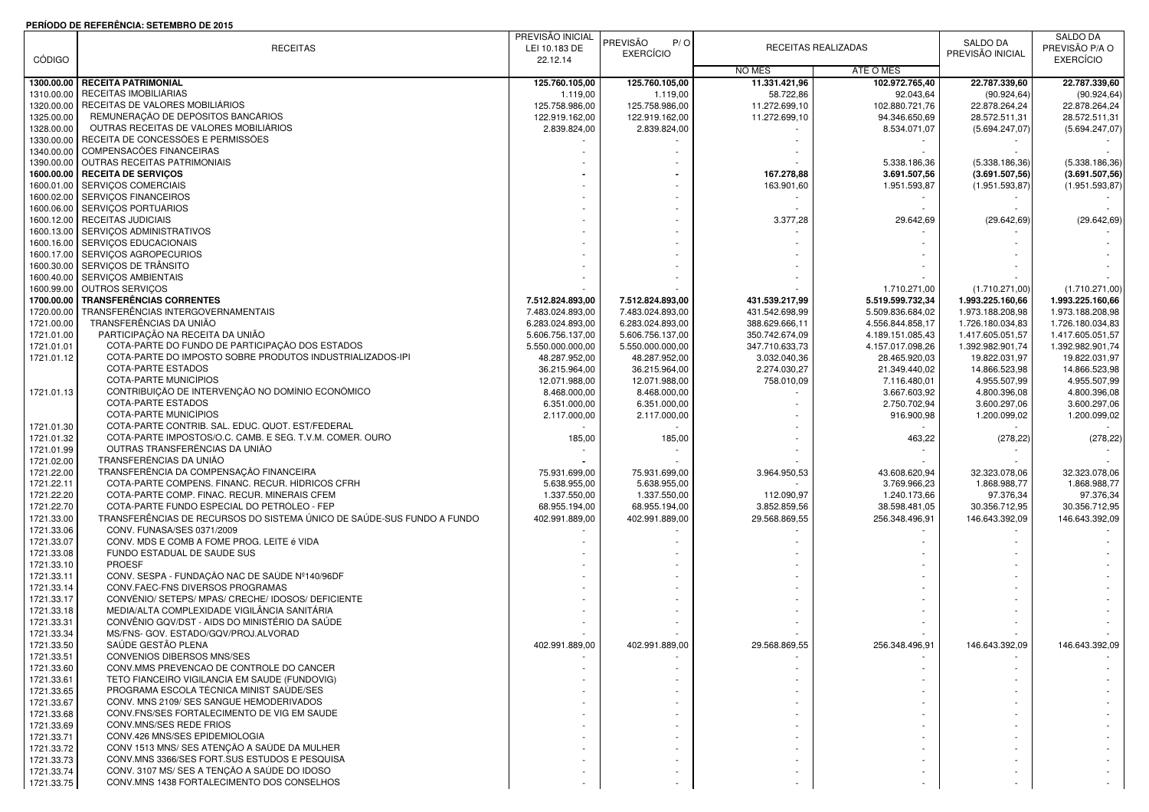## **PERÍODO DE REFERÊNCIA: SETEMBRO DE 2015**

|               | FENIODO DE NEFENENCIA. SETEMBNO DE 2013                                |                  |                   |                |                     |                  |                  |
|---------------|------------------------------------------------------------------------|------------------|-------------------|----------------|---------------------|------------------|------------------|
|               |                                                                        | PREVISÃO INICIAL | PREVISÃO<br>P / O |                |                     | SALDO DA         | SALDO DA         |
|               | <b>RECEITAS</b>                                                        | LEI 10.183 DE    | <b>EXERCÍCIO</b>  |                | RECEITAS REALIZADAS | PREVISÃO INICIAL | PREVISÃO P/A O   |
| <b>CÓDIGO</b> |                                                                        | 22.12.14         |                   |                |                     |                  | <b>EXERCÍCIO</b> |
|               |                                                                        |                  |                   | NO MÊS         | ATÉ O MÊS           |                  |                  |
| 1300.00.00    | <b>RECEITA PATRIMONIAL</b>                                             | 125.760.105,00   | 125.760.105,00    | 11.331.421,96  | 102.972.765,40      | 22.787.339,60    | 22.787.339,60    |
| 1310.00.00    | RECEITAS IMOBILIÁRIAS                                                  | 1.119,00         | 1.119,00          | 58.722,86      | 92.043,64           | (90.924, 64)     | (90.924, 64)     |
|               | RECEITAS DE VALORES MOBILIÁRIOS                                        |                  | 125.758.986,00    |                | 102.880.721,76      |                  |                  |
| 1320.00.00    |                                                                        | 125.758.986,00   |                   | 11.272.699,10  |                     | 22.878.264,24    | 22.878.264,24    |
| 1325.00.00    | REMUNERAÇÃO DE DEPÓSITOS BANCÁRIOS                                     | 122.919.162,00   | 122.919.162,00    | 11.272.699,10  | 94.346.650,69       | 28.572.511,31    | 28.572.511,31    |
| 1328.00.00    | OUTRAS RECEITAS DE VALORES MOBILIÁRIOS                                 | 2.839.824,00     | 2.839.824,00      |                | 8.534.071,07        | (5.694.247,07    | (5.694.247,07)   |
| 1330.00.00    | RECEITA DE CONCESSÕES E PERMISSÕES                                     |                  |                   |                |                     |                  |                  |
| 1340.00.00    | COMPENSACÕES FINANCEIRAS                                               |                  |                   |                |                     |                  |                  |
| 1390.00.00    | <b>OUTRAS RECEITAS PATRIMONIAIS</b>                                    |                  |                   |                | 5.338.186,36        | (5.338.186, 36)  | (5.338.186, 36)  |
| 1600.00.00    | <b>RECEITA DE SERVIÇOS</b>                                             |                  |                   |                |                     |                  | (3.691.507, 56)  |
|               |                                                                        |                  |                   | 167.278,88     | 3.691.507,56        | (3.691.507, 56)  |                  |
| 1600.01.00    | SERVIÇOS COMERCIAIS                                                    |                  |                   | 163.901,60     | 1.951.593,87        | (1.951.593, 87)  | (1.951.593.87)   |
| 1600.02.00    | SERVIÇOS FINANCEIROS                                                   |                  |                   |                |                     |                  |                  |
| 1600.06.00    | SERVIÇOS PORTUÁRIOS                                                    |                  |                   |                |                     |                  |                  |
| 1600.12.00    | RECEITAS JUDICIAIS                                                     |                  |                   | 3.377,28       | 29.642,69           | (29.642, 69)     | (29.642, 69)     |
| 1600.13.00    | SERVIÇOS ADMINISTRATIVOS                                               |                  |                   |                |                     |                  |                  |
| 1600.16.00    | SERVIÇOS EDUCACIONAIS                                                  |                  |                   |                |                     |                  |                  |
|               |                                                                        |                  |                   |                |                     |                  |                  |
| 1600.17.00    | SERVIÇOS AGROPECURIOS                                                  |                  |                   |                |                     |                  |                  |
| 1600.30.00    | SERVIÇOS DE TRÂNSITO                                                   |                  |                   |                |                     |                  |                  |
| 1600.40.00    | SERVIÇOS AMBIENTAIS                                                    |                  |                   |                |                     |                  |                  |
| 1600.99.00    | OUTROS SERVIÇOS                                                        |                  |                   |                | 1.710.271,00        | (1.710.271,00)   | (1.710.271,00)   |
| 1700.00.00    | <b>TRANSFERÊNCIAS CORRENTES</b>                                        | 7.512.824.893,00 | 7.512.824.893,00  | 431.539.217,99 | 5.519.599.732,34    | 1.993.225.160,66 | 1.993.225.160,66 |
|               | TRANSFERÊNCIAS INTERGOVERNAMENTAIS                                     |                  |                   |                |                     |                  |                  |
| 1720.00.00    |                                                                        | 7.483.024.893,00 | 7.483.024.893,00  | 431.542.698,99 | 5.509.836.684,02    | 1.973.188.208,98 | 1.973.188.208,98 |
| 1721.00.00    | TRANSFERÊNCIAS DA UNIÃO                                                | 6.283.024.893,00 | 6.283.024.893,00  | 388.629.666,11 | 4.556.844.858,17    | 1.726.180.034,83 | 1.726.180.034,83 |
| 1721.01.00    | PARTICIPAÇÃO NA RECEITA DA UNIÃO                                       | 5.606.756.137,00 | 5.606.756.137,00  | 350.742.674,09 | 4.189.151.085,43    | 1.417.605.051,57 | 1.417.605.051,57 |
| 1721.01.01    | COTA-PARTE DO FUNDO DE PARTICIPAÇÃO DOS ESTADOS                        | 5.550.000.000,00 | 5.550.000.000,00  | 347.710.633,73 | 4.157.017.098,26    | 1.392.982.901,74 | 1.392.982.901,74 |
| 1721.01.12    | COTA-PARTE DO IMPOSTO SOBRE PRODUTOS INDUSTRIALIZADOS-IPI              | 48.287.952,00    | 48.287.952,00     | 3.032.040,36   | 28.465.920,03       | 19.822.031,97    | 19.822.031,97    |
|               | COTA-PARTE ESTADOS                                                     | 36.215.964,00    | 36.215.964,00     | 2.274.030,27   | 21.349.440,02       | 14.866.523,98    | 14.866.523,98    |
|               |                                                                        |                  |                   |                |                     |                  |                  |
|               | COTA-PARTE MUNICÍPIOS                                                  | 12.071.988,00    | 12.071.988,00     | 758.010,09     | 7.116.480,01        | 4.955.507,99     | 4.955.507,99     |
| 1721.01.13    | CONTRIBUIÇÃO DE INTERVENÇÃO NO DOMÍNIO ECONÔMICO                       | 8.468.000,00     | 8.468.000,00      |                | 3.667.603,92        | 4.800.396,08     | 4.800.396,08     |
|               | <b>COTA-PARTE ESTADOS</b>                                              | 6.351.000,00     | 6.351.000,00      |                | 2.750.702,94        | 3.600.297,06     | 3.600.297,06     |
|               | COTA-PARTE MUNICÍPIOS                                                  | 2.117.000,00     | 2.117.000,00      |                | 916.900,98          | 1.200.099,02     | 1.200.099,02     |
| 1721.01.30    | COTA-PARTE CONTRIB. SAL. EDUC. QUOT. EST/FEDERAL                       |                  |                   |                |                     |                  |                  |
|               |                                                                        |                  |                   |                |                     |                  |                  |
| 1721.01.32    | COTA-PARTE IMPOSTOS/O.C. CAMB. E SEG. T.V.M. COMER. OURO               | 185,00           | 185,00            |                | 463,22              | (278, 22)        | (278, 22)        |
| 1721.01.99    | OUTRAS TRANSFERÊNCIAS DA UNIÃO                                         |                  |                   |                |                     |                  |                  |
| 1721.02.00    | TRANSFERÊNCIAS DA UNIÃO                                                |                  |                   |                |                     |                  |                  |
| 1721.22.00    | TRANSFERÊNCIA DA COMPENSAÇÃO FINANCEIRA                                | 75.931.699,00    | 75.931.699,00     | 3.964.950,53   | 43.608.620,94       | 32.323.078,06    | 32.323.078,06    |
| 1721.22.11    | COTA-PARTE COMPENS. FINANC. RECUR. HÍDRICOS CFRH                       | 5.638.955,00     | 5.638.955,00      |                | 3.769.966,23        | 1.868.988,77     | 1.868.988,77     |
| 1721.22.20    | COTA-PARTE COMP. FINAC. RECUR. MINERAIS CFEM                           | 1.337.550,00     | 1.337.550,00      | 112.090,97     | 1.240.173,66        | 97.376,34        | 97.376,34        |
|               |                                                                        |                  |                   |                |                     |                  |                  |
| 1721.22.70    | COTA-PARTE FUNDO ESPECIAL DO PETRÓLEO - FEP                            | 68.955.194,00    | 68.955.194,00     | 3.852.859,56   | 38.598.481,05       | 30.356.712,95    | 30.356.712,95    |
| 1721.33.00    | TRANSFERÊNCIAS DE RECURSOS DO SISTEMA ÚNICO DE SAÚDE-SUS FUNDO A FUNDO | 402.991.889,00   | 402.991.889,00    | 29.568.869,55  | 256.348.496,91      | 146.643.392,09   | 146.643.392,09   |
| 1721.33.06    | CONV. FUNASA/SES 0371/2009                                             |                  |                   |                |                     |                  |                  |
| 1721.33.07    | CONV. MDS E COMB A FOME PROG. LEITE é VIDA                             |                  |                   |                |                     |                  |                  |
| 1721.33.08    | FUNDO ESTADUAL DE SAUDE SUS                                            |                  |                   |                |                     |                  |                  |
|               |                                                                        |                  |                   |                |                     |                  |                  |
| 1721.33.10    | <b>PROESF</b>                                                          |                  |                   |                |                     |                  |                  |
| 1721.33.11    | CONV. SESPA - FUNDAÇÃO NAC DE SAÚDE Nº140/96DF                         |                  |                   |                |                     |                  |                  |
| 1721.33.14    | CONV.FAEC-FNS DIVERSOS PROGRAMAS                                       |                  |                   |                |                     |                  |                  |
| 1721.33.17    | CONVÊNIO/ SETEPS/ MPAS/ CRECHE/ IDOSOS/ DEFICIENTE                     |                  |                   |                |                     |                  |                  |
| 1721.33.18    | MEDIA/ALTA COMPLEXIDADE VIGILÂNCIA SANITÁRIA                           |                  |                   |                |                     |                  |                  |
| 1721.33.31    | CONVÊNIO GQV/DST - AIDS DO MINISTÉRIO DA SAÚDE                         |                  |                   |                |                     |                  |                  |
|               |                                                                        |                  |                   |                |                     |                  |                  |
| 1721.33.34    | MS/FNS- GOV. ESTADO/GQV/PROJ.ALVORAD                                   |                  |                   |                |                     |                  |                  |
| 1721.33.50    | SAÚDE GESTÃO PLENA                                                     | 402.991.889,00   | 402.991.889,00    | 29.568.869,55  | 256.348.496,91      | 146.643.392,09   | 146.643.392,09   |
| 1721.33.51    | <b>CONVENIOS DIBERSOS MNS/SES</b>                                      |                  |                   |                |                     |                  |                  |
| 1721.33.60    | CONV.MMS PREVENCAO DE CONTROLE DO CANCER                               |                  |                   |                |                     |                  |                  |
| 1721.33.61    | TETO FIANCEIRO VIGILANCIA EM SAUDE (FUNDOVIG)                          |                  |                   |                |                     |                  |                  |
| 1721.33.65    | PROGRAMA ESCOLA TÉCNICA MINIST SAÚDE/SES                               |                  |                   |                |                     |                  |                  |
|               |                                                                        |                  |                   |                |                     |                  |                  |
| 1721.33.67    | CONV. MNS 2109/ SES SANGUE HEMODERIVADOS                               |                  |                   |                |                     |                  |                  |
| 1721.33.68    | CONV.FNS/SES FORTALECIMENTO DE VIG EM SAUDE                            |                  |                   |                |                     |                  |                  |
| 1721.33.69    | CONV.MNS/SES REDE FRIOS                                                |                  |                   |                |                     |                  |                  |
| 1721.33.71    | CONV.426 MNS/SES EPIDEMIOLOGIA                                         |                  |                   |                |                     |                  |                  |
| 1721.33.72    | CONV 1513 MNS/ SES ATENÇÃO A SAÚDE DA MULHER                           |                  |                   |                |                     |                  |                  |
|               | CONV.MNS 3366/SES FORT.SUS ESTUDOS E PESQUISA                          |                  |                   |                |                     |                  |                  |
| 1721.33.73    |                                                                        |                  |                   |                |                     |                  |                  |
| 1721.33.74    | CONV. 3107 MS/ SES A TENÇÃO A SAÚDE DO IDOSO                           |                  |                   |                |                     |                  |                  |
| 1721.33.75    | CONV.MNS 1438 FORTALECIMENTO DOS CONSELHOS                             |                  |                   |                |                     |                  |                  |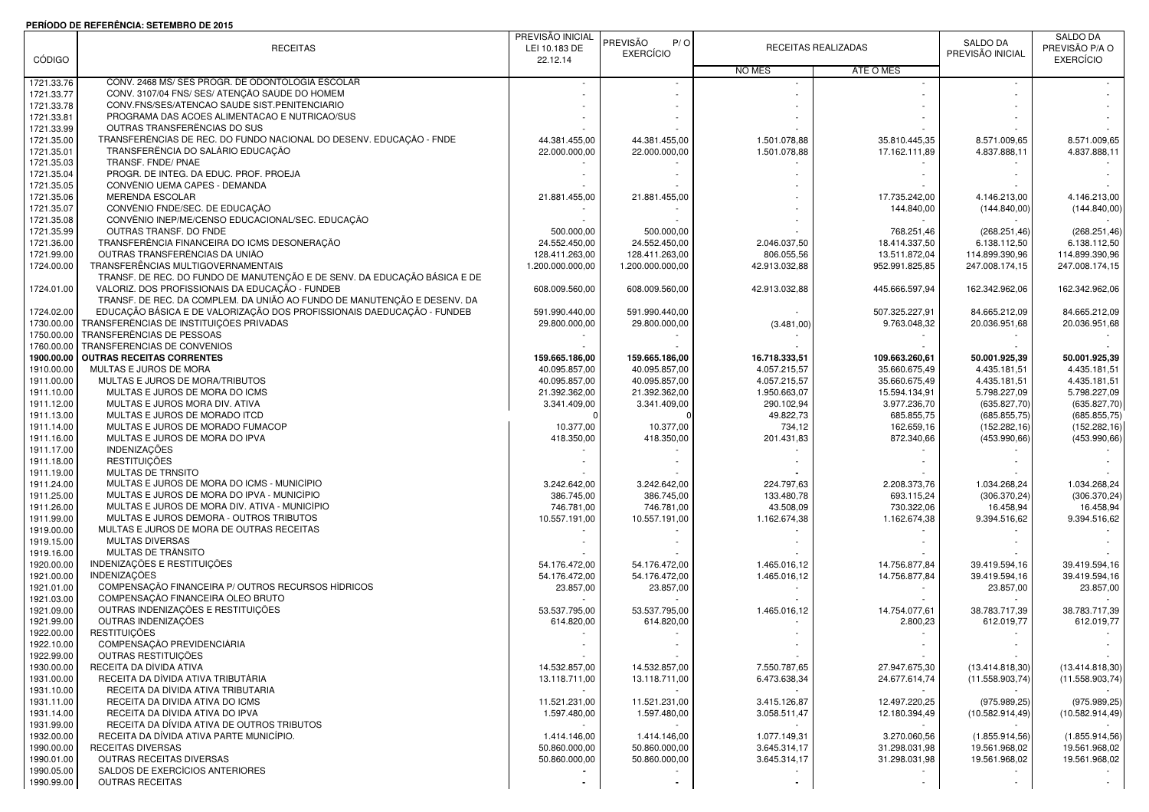## **PERÍODO DE REFERÊNCIA: SETEMBRO DE 2015**

|               | FERIODO DE REFERENCIA. SETEMBRO DE 2013                                   | PREVISÃO INICIAL |                        |               |                     |                  | SALDO DA         |
|---------------|---------------------------------------------------------------------------|------------------|------------------------|---------------|---------------------|------------------|------------------|
|               |                                                                           |                  | <b>PREVISÃO</b><br>P/O |               | RECEITAS REALIZADAS | SALDO DA         | PREVISÃO P/A O   |
|               | <b>RECEITAS</b>                                                           | LEI 10.183 DE    | <b>EXERCÍCIO</b>       |               |                     | PREVISÃO INICIAL | <b>EXERCÍCIO</b> |
| <b>CÓDIGO</b> |                                                                           | 22.12.14         |                        |               | ATÉ O MÊS           |                  |                  |
|               | CONV. 2468 MS/ SES PROGR. DE ODONTOLOGIA ESCOLAR                          |                  |                        | NO MÊS        |                     |                  |                  |
| 1721.33.76    |                                                                           |                  |                        |               |                     |                  |                  |
| 1721.33.77    | CONV. 3107/04 FNS/ SES/ ATENÇÃO SAÚDE DO HOMEM                            |                  |                        |               |                     |                  |                  |
| 1721.33.78    | CONV.FNS/SES/ATENCAO SAUDE SIST.PENITENCIARIO                             |                  |                        |               |                     |                  |                  |
| 1721.33.81    | PROGRAMA DAS ACOES ALIMENTACAO E NUTRICAO/SUS                             |                  |                        |               |                     |                  |                  |
| 1721.33.99    | OUTRAS TRANSFERÊNCIAS DO SUS                                              |                  |                        |               |                     |                  |                  |
| 1721.35.00    | TRANSFERÊNCIAS DE REC. DO FUNDO NACIONAL DO DESENV. EDUCAÇÃO - FNDE       | 44.381.455,00    | 44.381.455.00          | 1.501.078,88  | 35.810.445,35       | 8.571.009,65     | 8.571.009,65     |
| 1721.35.01    | TRANSFERÊNCIA DO SALÁRIO EDUCAÇÃO                                         | 22.000.000,00    | 22.000.000,00          | 1.501.078,88  | 17.162.111,89       | 4.837.888,11     | 4.837.888,11     |
| 1721.35.03    | TRANSF. FNDE/ PNAE                                                        |                  |                        |               |                     |                  |                  |
| 1721.35.04    | PROGR. DE INTEG. DA EDUC. PROF. PROEJA                                    |                  |                        |               |                     |                  |                  |
| 1721.35.05    | CONVÊNIO UEMA CAPES - DEMANDA                                             |                  |                        |               |                     |                  |                  |
| 1721.35.06    | <b>MERENDA ESCOLAR</b>                                                    | 21.881.455,00    | 21.881.455,00          |               | 17.735.242.00       | 4.146.213.00     | 4.146.213.00     |
| 1721.35.07    | CONVÊNIO FNDE/SEC. DE EDUCAÇÃO                                            |                  |                        |               | 144.840,00          | (144.840,00)     | (144.840,00)     |
| 1721.35.08    | CONVÊNIO INEP/ME/CENSO EDUCACIONAL/SEC. EDUCAÇÃO                          |                  |                        |               |                     |                  |                  |
| 1721.35.99    | OUTRAS TRANSF. DO FNDE                                                    | 500.000,00       | 500.000,00             |               | 768.251,46          |                  |                  |
|               |                                                                           |                  |                        |               |                     | (268.251, 46)    | (268.251, 46)    |
| 1721.36.00    | TRANSFERÊNCIA FINANCEIRA DO ICMS DESONERAÇÃO                              | 24.552.450,00    | 24.552.450,00          | 2.046.037,50  | 18.414.337,50       | 6.138.112,50     | 6.138.112,50     |
| 1721.99.00    | OUTRAS TRANSFERÊNCIAS DA UNIÃO                                            | 128.411.263,00   | 128.411.263,00         | 806.055,56    | 13.511.872,04       | 114.899.390,96   | 114.899.390,96   |
| 1724.00.00    | TRANSFERÊNCIAS MULTIGOVERNAMENTAIS                                        | 1.200.000.000,00 | 1.200.000.000.00       | 42.913.032,88 | 952.991.825,85      | 247.008.174,15   | 247.008.174,15   |
|               | TRANSF. DE REC. DO FUNDO DE MANUTENÇÃO E DE SENV. DA EDUCAÇÃO BÁSICA E DE |                  |                        |               |                     |                  |                  |
| 1724.01.00    | VALORIZ. DOS PROFISSIONAIS DA EDUCAÇÃO - FUNDEB                           | 608.009.560,00   | 608.009.560,00         | 42.913.032,88 | 445.666.597,94      | 162.342.962,06   | 162.342.962,06   |
|               | TRANSF. DE REC. DA COMPLEM. DA UNIÃO AO FUNDO DE MANUTENÇÃO E DESENV. DA  |                  |                        |               |                     |                  |                  |
| 1724.02.00    | EDUCAÇÃO BÁSICA E DE VALORIZAÇÃO DOS PROFISSIONAIS DAEDUCAÇÃO - FUNDEB    | 591.990.440.00   | 591.990.440,00         |               | 507.325.227,91      | 84.665.212,09    | 84.665.212,09    |
| 1730.00.00    | TRANSFERÊNCIAS DE INSTITUIÇÕES PRIVADAS                                   | 29.800.000,00    | 29.800.000,00          | (3.481,00)    | 9.763.048,32        | 20.036.951,68    | 20.036.951,68    |
| 1750.00.00    | TRANSFERÊNCIAS DE PESSOAS                                                 |                  |                        |               |                     |                  |                  |
| 1760.00.00    | TRANSFERENCIAS DE CONVENIOS                                               |                  |                        |               |                     |                  |                  |
| 1900.00.00    | <b>OUTRAS RECEITAS CORRENTES</b>                                          | 159.665.186,00   | 159.665.186,00         | 16.718.333,51 | 109.663.260,61      | 50.001.925,39    | 50.001.925,39    |
|               |                                                                           |                  |                        |               |                     |                  |                  |
| 1910.00.00    | MULTAS E JUROS DE MORA                                                    | 40.095.857,00    | 40.095.857,00          | 4.057.215,57  | 35.660.675,49       | 4.435.181,51     | 4.435.181,51     |
| 1911.00.00    | MULTAS E JUROS DE MORA/TRIBUTOS                                           | 40.095.857,00    | 40.095.857,00          | 4.057.215,57  | 35.660.675,49       | 4.435.181,51     | 4.435.181,51     |
| 1911.10.00    | MULTAS E JUROS DE MORA DO ICMS                                            | 21.392.362,00    | 21.392.362,00          | 1.950.663,07  | 15.594.134,91       | 5.798.227,09     | 5.798.227,09     |
| 1911.12.00    | MULTAS E JUROS MORA DIV. ATIVA                                            | 3.341.409,00     | 3.341.409,00           | 290.102,94    | 3.977.236,70        | (635.827,70)     | (635.827,70)     |
| 1911.13.00    | MULTAS E JUROS DE MORADO ITCD                                             |                  |                        | 49.822,73     | 685.855,75          | (685.855,75)     | (685.855,75)     |
| 1911.14.00    | MULTAS E JUROS DE MORADO FUMACOP                                          | 10.377,00        | 10.377,00              | 734,12        | 162.659,16          | (152.282, 16)    | (152.282, 16)    |
| 1911.16.00    | MULTAS E JUROS DE MORA DO IPVA                                            | 418.350,00       | 418.350,00             | 201.431,83    | 872.340,66          | (453.990,66)     | (453.990, 66)    |
| 1911.17.00    | <b>INDENIZAÇÕES</b>                                                       |                  |                        |               |                     |                  |                  |
| 1911.18.00    | <b>RESTITUIÇÕES</b>                                                       |                  |                        |               |                     |                  |                  |
| 1911.19.00    | MULTAS DE TRNSITO                                                         |                  |                        |               |                     |                  |                  |
| 1911.24.00    | MULTAS E JUROS DE MORA DO ICMS - MUNICÍPIO                                | 3.242.642,00     | 3.242.642,00           | 224.797,63    | 2.208.373,76        | 1.034.268,24     | 1.034.268,24     |
| 1911.25.00    | MULTAS E JUROS DE MORA DO IPVA - MUNICÍPIO                                | 386.745,00       | 386.745,00             | 133.480,78    | 693.115,24          | (306.370, 24)    | (306.370, 24)    |
|               | MULTAS E JUROS DE MORA DIV. ATIVA - MUNICÍPIO                             |                  |                        | 43.508,09     |                     |                  |                  |
| 1911.26.00    | MULTAS E JUROS DEMORA - OUTROS TRIBUTOS                                   | 746.781,00       | 746.781,00             |               | 730.322,06          | 16.458,94        | 16.458,94        |
| 1911.99.00    |                                                                           | 10.557.191,00    | 10.557.191.00          | 1.162.674,38  | 1.162.674,38        | 9.394.516,62     | 9.394.516,62     |
| 1919.00.00    | MULTAS E JUROS DE MORA DE OUTRAS RECEITAS                                 |                  |                        |               |                     |                  |                  |
| 1919.15.00    | <b>MULTAS DIVERSAS</b>                                                    |                  |                        |               |                     |                  |                  |
| 1919.16.00    | MULTAS DE TRÂNSITO                                                        |                  |                        |               |                     |                  |                  |
| 1920.00.00    | INDENIZAÇÕES E RESTITUIÇÕES                                               | 54.176.472,00    | 54.176.472,00          | 1.465.016,12  | 14.756.877,84       | 39.419.594,16    | 39.419.594,16    |
| 1921.00.00    | <b>INDENIZACÕES</b>                                                       | 54.176.472,00    | 54.176.472,00          | 1.465.016.12  | 14.756.877,84       | 39.419.594,16    | 39.419.594,16    |
| 1921.01.00    | COMPENSAÇÃO FINANCEIRA P/ OUTROS RECURSOS HÍDRICOS                        | 23.857,00        | 23.857,00              |               |                     | 23.857,00        | 23.857,00        |
| 1921.03.00    | COMPENSAÇÃO FINANCEIRA ÓLEO BRUTO                                         |                  |                        |               |                     |                  |                  |
| 1921.09.00    | OUTRAS INDENIZAÇÕES E RESTITUIÇÕES                                        | 53.537.795,00    | 53.537.795,00          | 1.465.016,12  | 14.754.077,61       | 38.783.717,39    | 38.783.717,39    |
| 1921.99.00    | OUTRAS INDENIZAÇÕES                                                       | 614.820,00       | 614.820,00             |               | 2.800,23            | 612.019,77       | 612.019,77       |
| 1922.00.00    | <b>RESTITUIÇÕES</b>                                                       |                  |                        |               |                     |                  |                  |
| 1922.10.00    | COMPENSAÇÃO PREVIDENCIÁRIA                                                |                  |                        |               |                     |                  |                  |
|               | OUTRAS RESTITUIÇÕES                                                       |                  |                        |               |                     |                  |                  |
| 1922.99.00    |                                                                           |                  |                        |               |                     |                  |                  |
| 1930.00.00    | RECEITA DA DÍVIDA ATIVA                                                   | 14.532.857,00    | 14.532.857,00          | 7.550.787,65  | 27.947.675,30       | (13.414.818,30)  | (13.414.818,30)  |
| 1931.00.00    | RECEITA DA DÍVIDA ATIVA TRIBUTÁRIA                                        | 13.118.711,00    | 13.118.711,00          | 6.473.638,34  | 24.677.614,74       | (11.558.903,74)  | (11.558.903,74)  |
| 1931.10.00    | RECEITA DA DÍVIDA ATIVA TRIBUTARIA                                        |                  |                        |               |                     |                  |                  |
| 1931.11.00    | RECEITA DA DIVIDA ATIVA DO ICMS                                           | 11.521.231,00    | 11.521.231,00          | 3.415.126,87  | 12.497.220,25       | (975.989, 25)    | (975.989,25)     |
| 1931.14.00    | RECEITA DA DÍVIDA ATIVA DO IPVA                                           | 1.597.480,00     | 1.597.480,00           | 3.058.511,47  | 12.180.394,49       | (10.582.914,49)  | (10.582.914, 49) |
| 1931.99.00    | RECEITA DA DÍVIDA ATIVA DE OUTROS TRIBUTOS                                |                  |                        |               |                     |                  |                  |
| 1932.00.00    | RECEITA DA DÍVIDA ATIVA PARTE MUNICÍPIO.                                  | 1.414.146,00     | 1.414.146,00           | 1.077.149.31  | 3.270.060,56        | (1.855.914, 56)  | (1.855.914, 56)  |
| 1990.00.00    | <b>RECEITAS DIVERSAS</b>                                                  | 50.860.000,00    | 50.860.000,00          | 3.645.314,17  | 31.298.031,98       | 19.561.968,02    | 19.561.968,02    |
| 1990.01.00    | OUTRAS RECEITAS DIVERSAS                                                  | 50.860.000,00    | 50.860.000,00          | 3.645.314.17  | 31.298.031,98       | 19.561.968,02    | 19.561.968,02    |
| 1990.05.00    | SALDOS DE EXERCÍCIOS ANTERIORES                                           |                  |                        |               |                     |                  |                  |
| 1990.99.00    | <b>OUTRAS RECEITAS</b>                                                    |                  |                        |               |                     |                  |                  |
|               |                                                                           |                  |                        |               |                     |                  |                  |